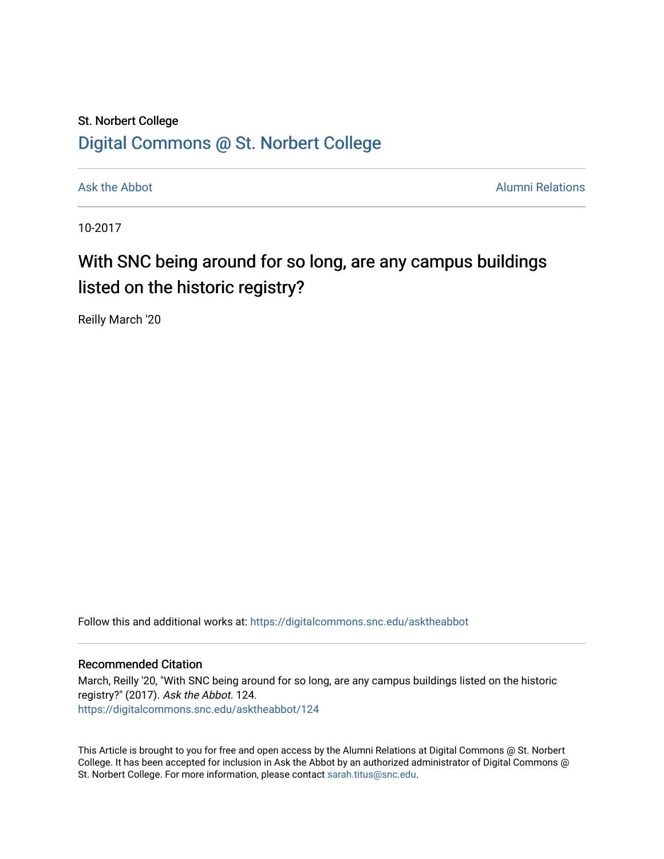## St. Norbert College [Digital Commons @ St. Norbert College](https://digitalcommons.snc.edu/)

[Ask the Abbot](https://digitalcommons.snc.edu/asktheabbot) **Alumni Relations** Alumni Relations

10-2017

## With SNC being around for so long, are any campus buildings listed on the historic registry?

Reilly March '20

Follow this and additional works at: [https://digitalcommons.snc.edu/asktheabbot](https://digitalcommons.snc.edu/asktheabbot?utm_source=digitalcommons.snc.edu%2Fasktheabbot%2F124&utm_medium=PDF&utm_campaign=PDFCoverPages)

#### Recommended Citation

March, Reilly '20, "With SNC being around for so long, are any campus buildings listed on the historic registry?" (2017). Ask the Abbot. 124. [https://digitalcommons.snc.edu/asktheabbot/124](https://digitalcommons.snc.edu/asktheabbot/124?utm_source=digitalcommons.snc.edu%2Fasktheabbot%2F124&utm_medium=PDF&utm_campaign=PDFCoverPages) 

This Article is brought to you for free and open access by the Alumni Relations at Digital Commons @ St. Norbert College. It has been accepted for inclusion in Ask the Abbot by an authorized administrator of Digital Commons @ St. Norbert College. For more information, please contact [sarah.titus@snc.edu.](mailto:sarah.titus@snc.edu)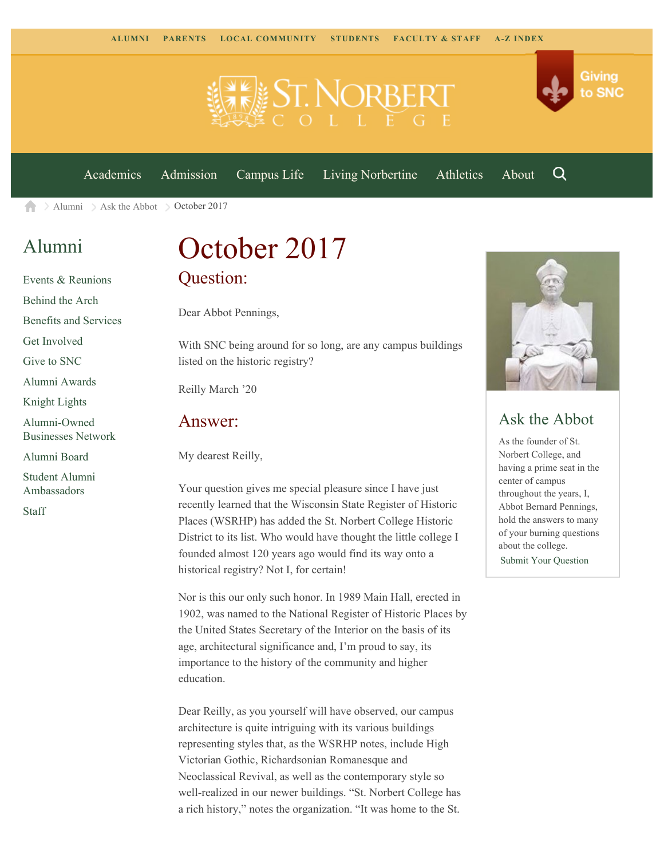

[Academics](https://www.snc.edu/academics) [Admission](https://www.snc.edu/admission) [Campus Life](https://www.snc.edu/campuslife) [Living Norbertine](https://www.snc.edu/livingnorbertine) [Athletics](https://www.snc.edu/athletics) [About](https://www.snc.edu/about)

Q

Giving

to SNC

 $\geq$  [Alumni](https://www.snc.edu/alumni/)  $\geq$  [Ask the Abbot](https://www.snc.edu/alumni/abbot/)  $\geq$  October 2017 合

## [Alumni](https://www.snc.edu/alumni/index.html)

[Events & Reunions](https://www.snc.edu/alumni/event/index.html) [Behind the Arch](https://www.snc.edu/alumni/event/behindthearch/) [Benefits and Services](https://www.snc.edu/alumni/benefits.html) [Get Involved](https://www.snc.edu/alumni/getinvolved.html) [Give to SNC](http://giving.snc.edu/) [Alumni Awards](https://www.snc.edu/alumni/awards/index.html) [Knight Lights](https://www.snc.edu/alumni/knightlights/index.html) [Alumni-Owned](https://www.snc.edu/alumni/directory/index.html) [Businesses Network](https://www.snc.edu/alumni/directory/index.html) [Alumni Board](https://www.snc.edu/alumni/alumniboard.html) [Student Alumni](https://www.snc.edu/alumni/saa.html) [Ambassadors](https://www.snc.edu/alumni/saa.html) [Staff](https://www.snc.edu/alumni/contactus.html)

# October 2017 Question:

Dear Abbot Pennings,

With SNC being around for so long, are any campus buildings listed on the historic registry?

Reilly March '20

#### Answer:

My dearest Reilly,

Your question gives me special pleasure since I have just recently learned that the Wisconsin State Register of Historic Places (WSRHP) has added the St. Norbert College Historic District to its list. Who would have thought the little college I founded almost 120 years ago would find its way onto a historical registry? Not I, for certain!

Nor is this our only such honor. In 1989 Main Hall, erected in 1902, was named to the National Register of Historic Places by the United States Secretary of the Interior on the basis of its age, architectural significance and, I'm proud to say, its importance to the history of the community and higher education.

Dear Reilly, as you yourself will have observed, our campus architecture is quite intriguing with its various buildings representing styles that, as the WSRHP notes, include High Victorian Gothic, Richardsonian Romanesque and Neoclassical Revival, as well as the contemporary style so well-realized in our newer buildings. "St. Norbert College has a rich history," notes the organization. "It was home to the St.



### Ask the Abbot

As the founder of St. Norbert College, and having a prime seat in the center of campus throughout the years, I, Abbot Bernard Pennings, hold the answers to many of your burning questions about the college. [Submit Your Question](https://www.snc.edu/alumni/abbot/index.html)